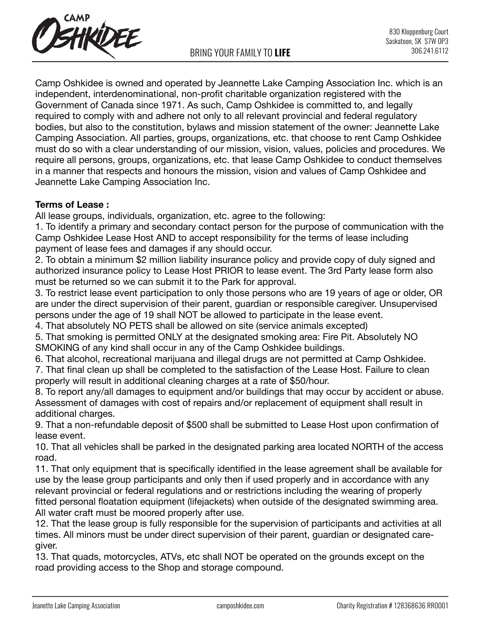

Camp Oshkidee is owned and operated by Jeannette Lake Camping Association Inc. which is an independent, interdenominational, non-profit charitable organization registered with the Government of Canada since 1971. As such, Camp Oshkidee is committed to, and legally required to comply with and adhere not only to all relevant provincial and federal regulatory bodies, but also to the constitution, bylaws and mission statement of the owner: Jeannette Lake Camping Association. All parties, groups, organizations, etc. that choose to rent Camp Oshkidee must do so with a clear understanding of our mission, vision, values, policies and procedures. We require all persons, groups, organizations, etc. that lease Camp Oshkidee to conduct themselves in a manner that respects and honours the mission, vision and values of Camp Oshkidee and Jeannette Lake Camping Association Inc.

# **Terms of Lease :**

All lease groups, individuals, organization, etc. agree to the following:

1. To identify a primary and secondary contact person for the purpose of communication with the Camp Oshkidee Lease Host AND to accept responsibility for the terms of lease including payment of lease fees and damages if any should occur.

2. To obtain a minimum \$2 million liability insurance policy and provide copy of duly signed and authorized insurance policy to Lease Host PRIOR to lease event. The 3rd Party lease form also must be returned so we can submit it to the Park for approval.

3. To restrict lease event participation to only those persons who are 19 years of age or older, OR are under the direct supervision of their parent, guardian or responsible caregiver. Unsupervised persons under the age of 19 shall NOT be allowed to participate in the lease event.

4. That absolutely NO PETS shall be allowed on site (service animals excepted)

5. That smoking is permitted ONLY at the designated smoking area: Fire Pit. Absolutely NO SMOKING of any kind shall occur in any of the Camp Oshkidee buildings.

6. That alcohol, recreational marijuana and illegal drugs are not permitted at Camp Oshkidee.

7. That final clean up shall be completed to the satisfaction of the Lease Host. Failure to clean properly will result in additional cleaning charges at a rate of \$50/hour.

8. To report any/all damages to equipment and/or buildings that may occur by accident or abuse. Assessment of damages with cost of repairs and/or replacement of equipment shall result in additional charges.

9. That a non-refundable deposit of \$500 shall be submitted to Lease Host upon confirmation of lease event.

10. That all vehicles shall be parked in the designated parking area located NORTH of the access road.

11. That only equipment that is specifically identified in the lease agreement shall be available for use by the lease group participants and only then if used properly and in accordance with any relevant provincial or federal regulations and or restrictions including the wearing of properly fitted personal floatation equipment (lifejackets) when outside of the designated swimming area. All water craft must be moored properly after use.

12. That the lease group is fully responsible for the supervision of participants and activities at all times. All minors must be under direct supervision of their parent, guardian or designated caregiver.

13. That quads, motorcycles, ATVs, etc shall NOT be operated on the grounds except on the road providing access to the Shop and storage compound.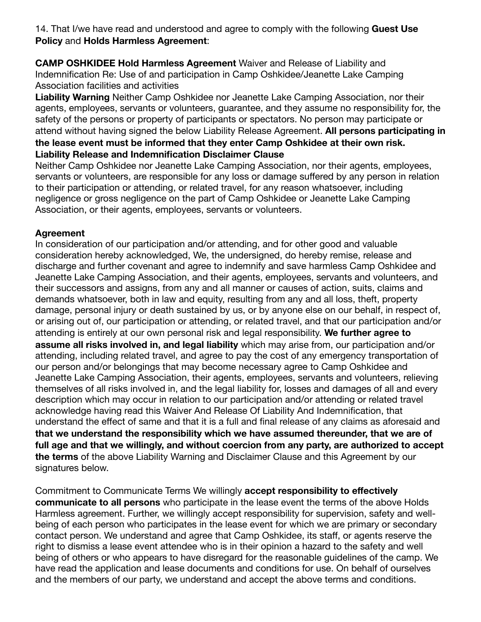14. That I/we have read and understood and agree to comply with the following **Guest Use Policy** and **Holds Harmless Agreement**:

**CAMP OSHKIDEE Hold Harmless Agreement** Waiver and Release of Liability and Indemnification Re: Use of and participation in Camp Oshkidee/Jeanette Lake Camping Association facilities and activities

**Liability Warning** Neither Camp Oshkidee nor Jeanette Lake Camping Association, nor their agents, employees, servants or volunteers, guarantee, and they assume no responsibility for, the safety of the persons or property of participants or spectators. No person may participate or attend without having signed the below Liability Release Agreement. **All persons participating in the lease event must be informed that they enter Camp Oshkidee at their own risk. Liability Release and Indemnification Disclaimer Clause** 

Neither Camp Oshkidee nor Jeanette Lake Camping Association, nor their agents, employees, servants or volunteers, are responsible for any loss or damage suffered by any person in relation to their participation or attending, or related travel, for any reason whatsoever, including negligence or gross negligence on the part of Camp Oshkidee or Jeanette Lake Camping Association, or their agents, employees, servants or volunteers.

# **Agreement**

In consideration of our participation and/or attending, and for other good and valuable consideration hereby acknowledged, We, the undersigned, do hereby remise, release and discharge and further covenant and agree to indemnify and save harmless Camp Oshkidee and Jeanette Lake Camping Association, and their agents, employees, servants and volunteers, and their successors and assigns, from any and all manner or causes of action, suits, claims and demands whatsoever, both in law and equity, resulting from any and all loss, theft, property damage, personal injury or death sustained by us, or by anyone else on our behalf, in respect of, or arising out of, our participation or attending, or related travel, and that our participation and/or attending is entirely at our own personal risk and legal responsibility. **We further agree to assume all risks involved in, and legal liability** which may arise from, our participation and/or attending, including related travel, and agree to pay the cost of any emergency transportation of our person and/or belongings that may become necessary agree to Camp Oshkidee and Jeanette Lake Camping Association, their agents, employees, servants and volunteers, relieving themselves of all risks involved in, and the legal liability for, losses and damages of all and every description which may occur in relation to our participation and/or attending or related travel acknowledge having read this Waiver And Release Of Liability And Indemnification, that understand the effect of same and that it is a full and final release of any claims as aforesaid and **that we understand the responsibility which we have assumed thereunder, that we are of full age and that we willingly, and without coercion from any party, are authorized to accept the terms** of the above Liability Warning and Disclaimer Clause and this Agreement by our signatures below.

Commitment to Communicate Terms We willingly **accept responsibility to effectively communicate to all persons** who participate in the lease event the terms of the above Holds Harmless agreement. Further, we willingly accept responsibility for supervision, safety and wellbeing of each person who participates in the lease event for which we are primary or secondary contact person. We understand and agree that Camp Oshkidee, its staff, or agents reserve the right to dismiss a lease event attendee who is in their opinion a hazard to the safety and well being of others or who appears to have disregard for the reasonable guidelines of the camp. We have read the application and lease documents and conditions for use. On behalf of ourselves and the members of our party, we understand and accept the above terms and conditions.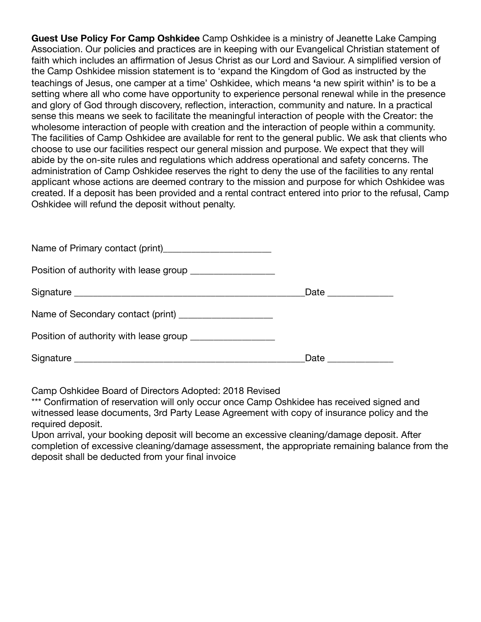**Guest Use Policy For Camp Oshkidee** Camp Oshkidee is a ministry of Jeanette Lake Camping Association. Our policies and practices are in keeping with our Evangelical Christian statement of faith which includes an affirmation of Jesus Christ as our Lord and Saviour. A simplified version of the Camp Oshkidee mission statement is to 'expand the Kingdom of God as instructed by the teachings of Jesus, one camper at a time' Oshkidee, which means **'**a new spirit within**'** is to be a setting where all who come have opportunity to experience personal renewal while in the presence and glory of God through discovery, reflection, interaction, community and nature. In a practical sense this means we seek to facilitate the meaningful interaction of people with the Creator: the wholesome interaction of people with creation and the interaction of people within a community. The facilities of Camp Oshkidee are available for rent to the general public. We ask that clients who choose to use our facilities respect our general mission and purpose. We expect that they will abide by the on-site rules and regulations which address operational and safety concerns. The administration of Camp Oshkidee reserves the right to deny the use of the facilities to any rental applicant whose actions are deemed contrary to the mission and purpose for which Oshkidee was created. If a deposit has been provided and a rental contract entered into prior to the refusal, Camp Oshkidee will refund the deposit without penalty.

| Name of Primary contact (print)___________________________  |                                                                                                                                                                                                                                |  |
|-------------------------------------------------------------|--------------------------------------------------------------------------------------------------------------------------------------------------------------------------------------------------------------------------------|--|
| Position of authority with lease group ___________________  |                                                                                                                                                                                                                                |  |
|                                                             | Date ______________                                                                                                                                                                                                            |  |
| Name of Secondary contact (print) ____________________      |                                                                                                                                                                                                                                |  |
| Position of authority with lease group ____________________ |                                                                                                                                                                                                                                |  |
|                                                             | Date the control of the control of the control of the control of the control of the control of the control of the control of the control of the control of the control of the control of the control of the control of the con |  |

Camp Oshkidee Board of Directors Adopted: 2018 Revised

\*\*\* Confirmation of reservation will only occur once Camp Oshkidee has received signed and witnessed lease documents, 3rd Party Lease Agreement with copy of insurance policy and the required deposit.

Upon arrival, your booking deposit will become an excessive cleaning/damage deposit. After completion of excessive cleaning/damage assessment, the appropriate remaining balance from the deposit shall be deducted from your final invoice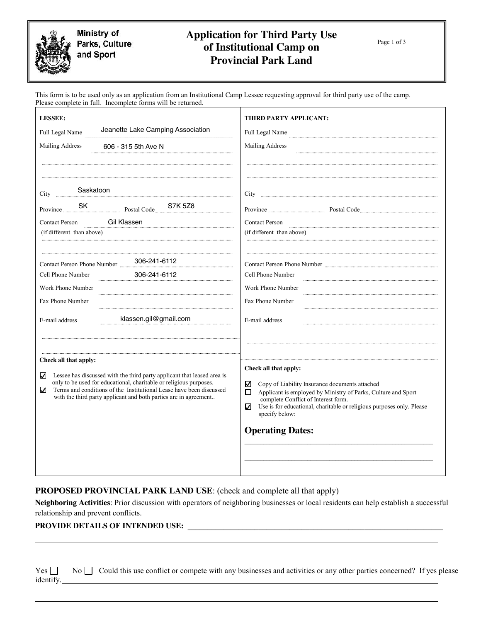Ministry of Parks, Culture and Sport

# **Application for Third Party Use of Institutional Camp on Provincial Park Land**

Page 1 of 3

Page

This form is to be used only as an application from an Institutional Camp Lessee requesting approval for third party use of the camp. Please complete in full. Incomplete forms will be returned.

| <b>LESSEE:</b>                                                                                                                                                                                                                                                                                                              | THIRD PARTY APPLICANT:                                                                                                                                                                                                                                                                                               |  |  |
|-----------------------------------------------------------------------------------------------------------------------------------------------------------------------------------------------------------------------------------------------------------------------------------------------------------------------------|----------------------------------------------------------------------------------------------------------------------------------------------------------------------------------------------------------------------------------------------------------------------------------------------------------------------|--|--|
| Jeanette Lake Camping Association<br>Full Legal Name                                                                                                                                                                                                                                                                        | Full Legal Name                                                                                                                                                                                                                                                                                                      |  |  |
| Mailing Address<br>606 - 315 5th Ave N                                                                                                                                                                                                                                                                                      | Mailing Address                                                                                                                                                                                                                                                                                                      |  |  |
|                                                                                                                                                                                                                                                                                                                             |                                                                                                                                                                                                                                                                                                                      |  |  |
|                                                                                                                                                                                                                                                                                                                             |                                                                                                                                                                                                                                                                                                                      |  |  |
|                                                                                                                                                                                                                                                                                                                             |                                                                                                                                                                                                                                                                                                                      |  |  |
| Contact Person Gil Klassen                                                                                                                                                                                                                                                                                                  | <b>Contact Person</b>                                                                                                                                                                                                                                                                                                |  |  |
| (if different than above)                                                                                                                                                                                                                                                                                                   | (if different than above)                                                                                                                                                                                                                                                                                            |  |  |
|                                                                                                                                                                                                                                                                                                                             |                                                                                                                                                                                                                                                                                                                      |  |  |
| Contact Person Phone Number 306-241-6112                                                                                                                                                                                                                                                                                    |                                                                                                                                                                                                                                                                                                                      |  |  |
| Cell Phone Number<br>306-241-6112                                                                                                                                                                                                                                                                                           | Cell Phone Number                                                                                                                                                                                                                                                                                                    |  |  |
| Work Phone Number                                                                                                                                                                                                                                                                                                           | Work Phone Number                                                                                                                                                                                                                                                                                                    |  |  |
| Fax Phone Number                                                                                                                                                                                                                                                                                                            | Fax Phone Number                                                                                                                                                                                                                                                                                                     |  |  |
| klassen.gil@gmail.com<br>E-mail address                                                                                                                                                                                                                                                                                     | E-mail address                                                                                                                                                                                                                                                                                                       |  |  |
| Check all that apply:<br>✓<br>Lessee has discussed with the third party applicant that leased area is<br>only to be used for educational, charitable or religious purposes.<br>Terms and conditions of the Institutional Lease have been discussed<br>✓<br>with the third party applicant and both parties are in agreement | Check all that apply:<br>Copy of Liability Insurance documents attached<br>✓<br>Applicant is employed by Ministry of Parks, Culture and Sport<br>□<br>complete Conflict of Interest form.<br>Use is for educational, charitable or religious purposes only. Please<br>V<br>specify below:<br><b>Operating Dates:</b> |  |  |

**PROPOSED PROVINCIAL PARK LAND USE**: (check and complete all that apply)

**Neighboring Activities**: Prior discussion with operators of neighboring businesses or local residents can help establish a successful relationship and prevent conflicts.

#### PROVIDE DETAILS OF INTENDED USE:

|           | Yes $\Box$ No $\Box$ Could this use conflict or compete with any businesses and activities or any other parties concerned? If yes please |  |
|-----------|------------------------------------------------------------------------------------------------------------------------------------------|--|
| identify. |                                                                                                                                          |  |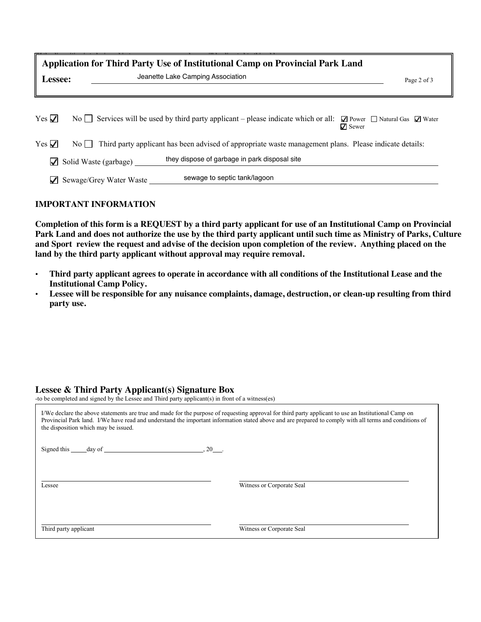| Application for Third Party Use of Institutional Camp on Provincial Park Land<br>Jeanette Lake Camping Association<br>Lessee:<br>Page 2 of 3   |  |                         |                                                                                                                                                  |  |
|------------------------------------------------------------------------------------------------------------------------------------------------|--|-------------------------|--------------------------------------------------------------------------------------------------------------------------------------------------|--|
| Yes $\sqrt{}$                                                                                                                                  |  |                         | No Services will be used by third party applicant – please indicate which or all: $\Box$ Power $\Box$ Natural Gas $\Box$ Water<br>$\nabla$ Sewer |  |
| Yes $\checkmark$<br>Third party applicant has been advised of appropriate waste management plans. Please indicate details:<br>$\overline{N_0}$ |  |                         |                                                                                                                                                  |  |
| ✓                                                                                                                                              |  | Solid Waste (garbage)   | they dispose of garbage in park disposal site                                                                                                    |  |
| ✓                                                                                                                                              |  | Sewage/Grey Water Waste | sewage to septic tank/lagoon                                                                                                                     |  |

#### **IMPORTANT INFORMATION**

**Completion of this form is a REQUEST by a third party applicant for use of an Institutional Camp on Provincial Park Land and does not authorize the use by the third party applicant until such time as Ministry of Parks, Culture and Sport review the request and advise of the decision upon completion of the review. Anything placed on the land by the third party applicant without approval may require removal.**

- **Third party applicant agrees to operate in accordance with all conditions of the Institutional Lease and the Institutional Camp Policy.**
- **Lessee will be responsible for any nuisance complaints, damage, destruction, or clean-up resulting from third party use.**

#### **Lessee & Third Party Applicant(s) Signature Box**

-to be completed and signed by the Lessee and Third party applicant(s) in front of a witness(es)

| the disposition which may be issued. | I/We declare the above statements are true and made for the purpose of requesting approval for third party applicant to use an Institutional Camp on<br>Provincial Park land. I/We have read and understand the important information stated above and are prepared to comply with all terms and conditions of |
|--------------------------------------|----------------------------------------------------------------------------------------------------------------------------------------------------------------------------------------------------------------------------------------------------------------------------------------------------------------|
| $.20$ .<br>Signed this day of        |                                                                                                                                                                                                                                                                                                                |
|                                      |                                                                                                                                                                                                                                                                                                                |
| Lessee                               | Witness or Corporate Seal                                                                                                                                                                                                                                                                                      |
|                                      |                                                                                                                                                                                                                                                                                                                |
| Third party applicant                | Witness or Corporate Seal                                                                                                                                                                                                                                                                                      |